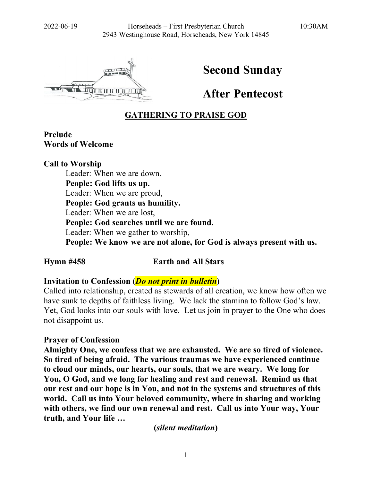

# **Second Sunday**

**After Pentecost**

# **GATHERING TO PRAISE GOD**

## **Prelude Words of Welcome**

**Call to Worship** Leader: When we are down, **People: God lifts us up.** Leader: When we are proud, **People: God grants us humility.** Leader: When we are lost, **People: God searches until we are found.** Leader: When we gather to worship, **People: We know we are not alone, for God is always present with us.**

## **Hymn #458 Earth and All Stars**

## **Invitation to Confession (***Do not print in bulletin***)**

Called into relationship, created as stewards of all creation, we know how often we have sunk to depths of faithless living. We lack the stamina to follow God's law. Yet, God looks into our souls with love. Let us join in prayer to the One who does not disappoint us.

#### **Prayer of Confession**

**Almighty One, we confess that we are exhausted. We are so tired of violence. So tired of being afraid. The various traumas we have experienced continue to cloud our minds, our hearts, our souls, that we are weary. We long for You, O God, and we long for healing and rest and renewal. Remind us that our rest and our hope is in You, and not in the systems and structures of this world. Call us into Your beloved community, where in sharing and working with others, we find our own renewal and rest. Call us into Your way, Your truth, and Your life …**

**(***silent meditation***)**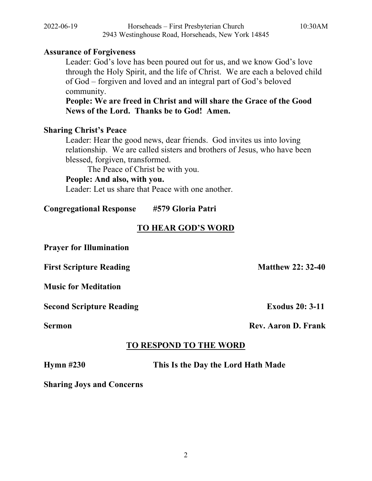#### **Assurance of Forgiveness**

Leader: God's love has been poured out for us, and we know God's love through the Holy Spirit, and the life of Christ. We are each a beloved child of God – forgiven and loved and an integral part of God's beloved community.

**People: We are freed in Christ and will share the Grace of the Good News of the Lord. Thanks be to God! Amen.**

#### **Sharing Christ's Peace**

Leader: Hear the good news, dear friends. God invites us into loving relationship. We are called sisters and brothers of Jesus, who have been blessed, forgiven, transformed.

The Peace of Christ be with you.

## **People: And also, with you.**

Leader: Let us share that Peace with one another.

**Congregational Response #579 Gloria Patri**

## **TO HEAR GOD'S WORD**

**Prayer for Illumination**

**First Scripture Reading Matthew 22: 32-40** 

**Music for Meditation**

**Second Scripture Reading Exodus 20: 3-11** 

**Sermon** Rev. Aaron D. Frank

# **TO RESPOND TO THE WORD**

**Hymn #230 This Is the Day the Lord Hath Made**

**Sharing Joys and Concerns**